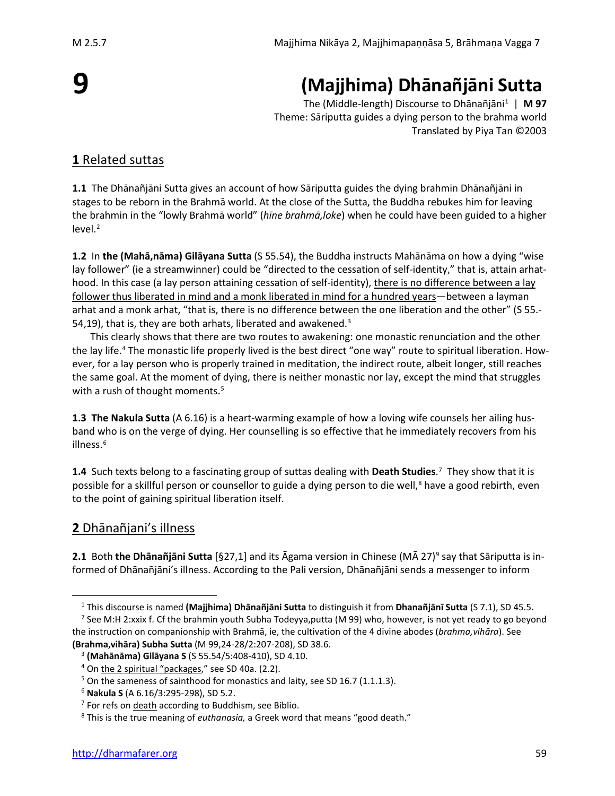# **9**

## **(Majjhima) Dhānañjāni Sutta**

The (Middle-length) Discourse to Dhānañjāni[1](#page-0-0) | **M 97** Theme: Sāriputta guides a dying person to the brahma world Translated by Piya Tan ©2003

## **1** Related suttas

**1.1** The Dhānañjāni Sutta gives an account of how Sāriputta guides the dying brahmin Dhānañjāni in stages to be reborn in the Brahmā world. At the close of the Sutta, the Buddha rebukes him for leaving the brahmin in the "lowly Brahmā world" (*hīne brahmā,loke*) when he could have been guided to a higher level.<sup>[2](#page-0-1)</sup>

**1.2** In **the (Mahā,nāma) Gilāyana Sutta** (S 55.54), the Buddha instructs Mahānāma on how a dying "wise lay follower" (ie a streamwinner) could be "directed to the cessation of self-identity," that is, attain arhathood. In this case (a lay person attaining cessation of self-identity), there is no difference between a lay follower thus liberated in mind and a monk liberated in mind for a hundred years—between a layman arhat and a monk arhat, "that is, there is no difference between the one liberation and the other" (S 55.- 54,19), that is, they are both arhats, liberated and awakened.<sup>[3](#page-0-2)</sup>

This clearly shows that there are two routes to awakening: one monastic renunciation and the other the lay life.[4](#page-0-3) The monastic life properly lived is the best direct "one way" route to spiritual liberation. However, for a lay person who is properly trained in meditation, the indirect route, albeit longer, still reaches the same goal. At the moment of dying, there is neither monastic nor lay, except the mind that struggles with a rush of thought moments.<sup>[5](#page-0-4)</sup>

**1.3 The Nakula Sutta** (A 6.16) is a heart-warming example of how a loving wife counsels her ailing husband who is on the verge of dying. Her counselling is so effective that he immediately recovers from his illness.<sup>[6](#page-0-5)</sup>

**1.4** Such texts belong to a fascinating group of suttas dealing with **Death Studies**. [7](#page-0-6) They show that it is possible for a skillful person or counsellor to guide a dying person to die well,<sup>[8](#page-0-7)</sup> have a good rebirth, even to the point of gaining spiritual liberation itself.

## <span id="page-0-8"></span>**2** Dhānañjani's illness

**2.1** Both **the Dhānañjāni Sutta** [§27,1] and its Āgama version in Chinese (MĀ 27)[9](#page-0-8) say that Sāriputta is informed of Dhānañjāni's illness. According to the Pali version, Dhānañjāni sends a messenger to inform

<sup>1</sup> This discourse is named **(Majjhima) Dhānañjāni Sutta** to distinguish it from **Dhanañjānī Sutta** (S 7.1), SD 45.5.

<span id="page-0-2"></span><span id="page-0-1"></span><span id="page-0-0"></span><sup>&</sup>lt;sup>2</sup> See M:H 2:xxix f. Cf the brahmin youth Subha Todeyya,putta (M 99) who, however, is not yet ready to go beyond the instruction on companionship with Brahmā, ie, the cultivation of the 4 divine abodes (*brahma,vihāra*). See **(Brahma,vihāra) Subha Sutta** (M 99,24-28/2:207-208), SD 38.6.

<sup>3</sup> **(Mahānāma) Gilāyana S** (S 55.54/5:408-410), SD 4.10.

<span id="page-0-3"></span><sup>4</sup> On the 2 spiritual "packages," see SD 40a. (2.2).

<span id="page-0-4"></span><sup>&</sup>lt;sup>5</sup> On the sameness of sainthood for monastics and laity, see SD 16.7 (1.1.1.3).

<span id="page-0-5"></span><sup>6</sup> **Nakula S** (A 6.16/3:295-298), SD 5.2.

<span id="page-0-6"></span> $7$  For refs on death according to Buddhism, see Biblio.

<span id="page-0-7"></span><sup>8</sup> This is the true meaning of *euthanasia,* a Greek word that means "good death."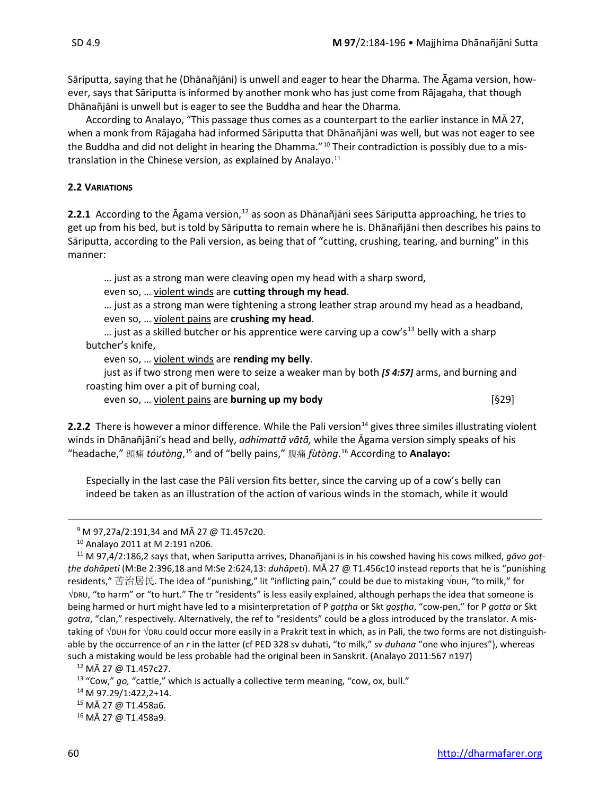Sāriputta, saying that he (Dhānañjāni) is unwell and eager to hear the Dharma. The Āgama version, however, says that Sāriputta is informed by another monk who has just come from Rājagaha, that though Dhānañjāni is unwell but is eager to see the Buddha and hear the Dharma.

According to Analayo, "This passage thus comes as a counterpart to the earlier instance in MĀ 27, when a monk from Rājagaha had informed Sāriputta that Dhānañjāni was well, but was not eager to see the Buddha and did not delight in hearing the Dhamma."<sup>[10](#page-1-0)</sup> Their contradiction is possibly due to a mis-translation in the Chinese version, as explained by Analayo.<sup>[11](#page-1-1)</sup>

### **2.2 VARIATIONS**

2.2.1 According to the Āgama version,<sup>[12](#page-1-2)</sup> as soon as Dhānañjāni sees Sāriputta approaching, he tries to get up from his bed, but is told by Sāriputta to remain where he is. Dhānañjāni then describes his pains to Sāriputta, according to the Pali version, as being that of "cutting, crushing, tearing, and burning" in this manner:

… just as a strong man were cleaving open my head with a sharp sword,

even so, … violent winds are **cutting through my head**.

… just as a strong man were tightening a strong leather strap around my head as a headband, even so, … violent pains are **crushing my head**.

... just as a skilled butcher or his apprentice were carving up a cow's<sup>[13](#page-1-3)</sup> belly with a sharp butcher's knife,

even so, … violent winds are **rending my belly**.

just as if two strong men were to seize a weaker man by both *[S 4:57]* arms, and burning and roasting him over a pit of burning coal,

even so, … violent pains are **burning up my body** [§29]

2.2.2 There is however a minor difference. While the Pali version<sup>[14](#page-1-4)</sup> gives three similes illustrating violent winds in Dhānañjāni's head and belly, *adhimattā vātā,* while the Āgama version simply speaks of his "headache," 頭痛 *tóutòng*, [15](#page-1-5) and of "belly pains," 腹痛 *fùtòng*. [16](#page-1-6) According to **Analayo:**

Especially in the last case the Pāli version fits better, since the carving up of a cow's belly can indeed be taken as an illustration of the action of various winds in the stomach, while it would

<span id="page-1-2"></span><sup>12</sup> MĀ 27 @ T1.457c27.

<span id="page-1-4"></span><sup>14</sup> M 97.29/1:422,2+14.

<sup>15</sup> MĀ 27 @ T1.458a6.

<sup>9</sup> M 97,27a/2:191,34 and MĀ 27 @ T1.457c20.

<sup>10</sup> Analayo 2011 at M 2:191 n206.

<span id="page-1-1"></span><span id="page-1-0"></span><sup>11</sup> M 97,4/2:186,2 says that, when Sariputta arrives, Dhanañjani is in his cowshed having his cows milked, *gāvo goṭṭhe dohāpeti* (M:Be 2:396,18 and M:Se 2:624,13: *duhāpeti*). MĀ 27 @ T1.456c10 instead reports that he is "punishing residents," 苦治居民. The idea of "punishing," lit "inflicting pain," could be due to mistaking √DUH, "to milk," for √DRU, "to harm" or "to hurt." The tr "residents" is less easily explained, although perhaps the idea that someone is being harmed or hurt might have led to a misinterpretation of P *goṭṭha* or Skt *goṣṭha*, "cow-pen," for P *gotta* or Skt *gotra*, "clan," respectively. Alternatively, the ref to "residents" could be a gloss introduced by the translator. A mistaking of √DUH for √DRU could occur more easily in a Prakrit text in which, as in Pali, the two forms are not distinguishable by the occurrence of an *r* in the latter (cf PED 328 sv duhati, "to milk," sv *duhana* "one who injures"), whereas such a mistaking would be less probable had the original been in Sanskrit. (Analayo 2011:567 n197)

<span id="page-1-3"></span><sup>13</sup> "Cow," *go,* "cattle," which is actually a collective term meaning, "cow, ox, bull."

<span id="page-1-6"></span><span id="page-1-5"></span><sup>16</sup> MĀ 27 @ T1.458a9.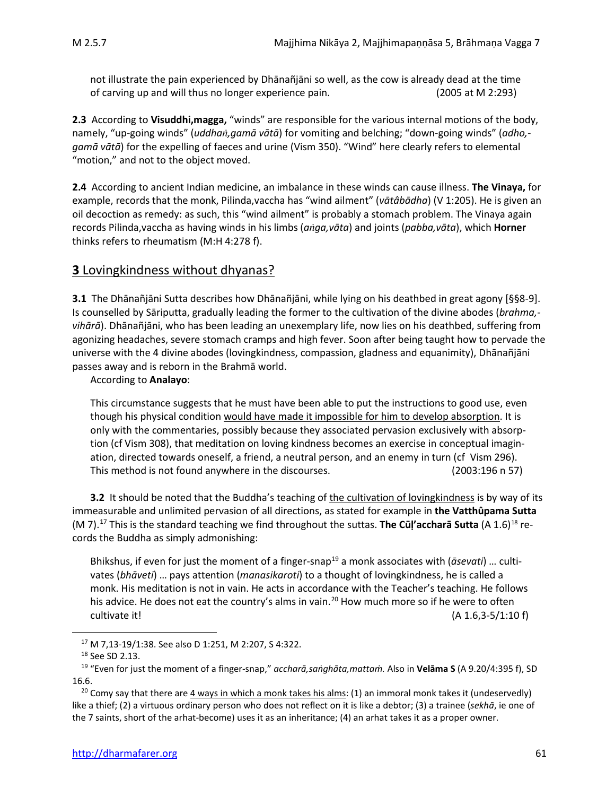not illustrate the pain experienced by Dhānañjāni so well, as the cow is already dead at the time of carving up and will thus no longer experience pain. (2005 at M 2:293)

**2.3** According to **Visuddhi,magga,** "winds" are responsible for the various internal motions of the body, namely, "up-going winds" (*uddha,gamā vātā*) for vomiting and belching; "down-going winds" (*adho, gamā vātā*) for the expelling of faeces and urine (Vism 350). "Wind" here clearly refers to elemental "motion," and not to the object moved.

**2.4** According to ancient Indian medicine, an imbalance in these winds can cause illness. **The Vinaya,** for example, records that the monk, Pilinda,vaccha has "wind ailment" (*vātâbādha*) (V 1:205). He is given an oil decoction as remedy: as such, this "wind ailment" is probably a stomach problem. The Vinaya again records Pilinda,vaccha as having winds in his limbs (*aga,vāta*) and joints (*pabba,vāta*), which **Horner** thinks refers to rheumatism (M:H 4:278 f).

## **3** Lovingkindness without dhyanas?

**3.1** The Dhānañjāni Sutta describes how Dhānañjāni, while lying on his deathbed in great agony [§§8-9]. Is counselled by Sāriputta, gradually leading the former to the cultivation of the divine abodes (*brahma, vihārā*). Dhānañjāni, who has been leading an unexemplary life, now lies on his deathbed, suffering from agonizing headaches, severe stomach cramps and high fever. Soon after being taught how to pervade the universe with the 4 divine abodes (lovingkindness, compassion, gladness and equanimity), Dhānañjāni passes away and is reborn in the Brahmā world.

According to **Analayo**:

This circumstance suggests that he must have been able to put the instructions to good use, even though his physical condition would have made it impossible for him to develop absorption. It is only with the commentaries, possibly because they associated pervasion exclusively with absorption (cf Vism 308), that meditation on loving kindness becomes an exercise in conceptual imagination, directed towards oneself, a friend, a neutral person, and an enemy in turn (cf Vism 296). This method is not found anywhere in the discourses. (2003:196 n 57)

**3.2** It should be noted that the Buddha's teaching of the cultivation of lovingkindness is by way of its immeasurable and unlimited pervasion of all directions, as stated for example in **the Vatthûpama Sutta** (M 7)[.17](#page-2-0) This is the standard teaching we find throughout the suttas. **The Cūḷ'accharā Sutta** (A 1.6)[18](#page-2-1) records the Buddha as simply admonishing:

Bhikshus, if even for just the moment of a finger-snap<sup>[19](#page-2-2)</sup> a monk associates with (*āsevati*) ... cultivates (*bhāveti*) … pays attention (*manasikaroti*) to a thought of lovingkindness, he is called a monk. His meditation is not in vain. He acts in accordance with the Teacher's teaching. He follows his advice. He does not eat the country's alms in vain.<sup>[20](#page-2-3)</sup> How much more so if he were to often cultivate it! (A 1.6,3-5/1:10 f)

<sup>17</sup> M 7,13-19/1:38. See also D 1:251, M 2:207, S 4:322.

<sup>18</sup> See SD 2.13.

<span id="page-2-2"></span><span id="page-2-1"></span><span id="page-2-0"></span><sup>19</sup> "Even for just the moment of a finger-snap," *accharā,saṅghāta,mattaṁ.* Also in **Velāma S** (A 9.20/4:395 f), SD 16.6.

<span id="page-2-3"></span><sup>&</sup>lt;sup>20</sup> Comy say that there are  $\frac{4 \text{ ways in which a month takes his almost?}}{1}$  an immoral monk takes it (undeservedly) like a thief; (2) a virtuous ordinary person who does not reflect on it is like a debtor; (3) a trainee (*sekhā*, ie one of the 7 saints, short of the arhat-become) uses it as an inheritance; (4) an arhat takes it as a proper owner.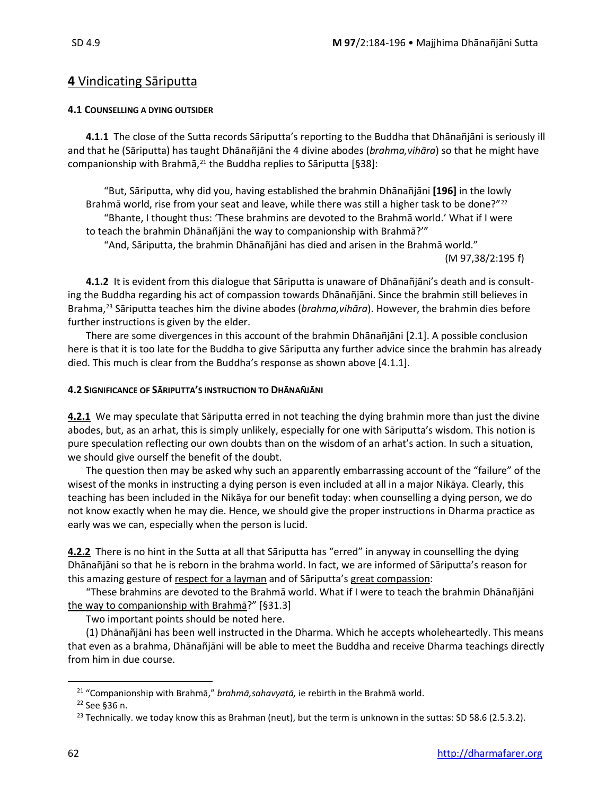## **4** Vindicating Sāriputta

### **4.1 COUNSELLING A DYING OUTSIDER**

**4.1.1** The close of the Sutta records Sāriputta's reporting to the Buddha that Dhānañjāni is seriously ill and that he (Sāriputta) has taught Dhānañjāni the 4 divine abodes (*brahma,vihāra*) so that he might have companionship with Brahmā, [21](#page-3-0) the Buddha replies to Sāriputta [§38]:

"But, Sāriputta, why did you, having established the brahmin Dhānañjāni **[196]** in the lowly Brahmā world, rise from your seat and leave, while there was still a higher task to be done?"<sup>[22](#page-3-1)</sup> "Bhante, I thought thus: 'These brahmins are devoted to the Brahmā world.' What if I were to teach the brahmin Dhānañjāni the way to companionship with Brahmā?'"

"And, Sāriputta, the brahmin Dhānañjāni has died and arisen in the Brahmā world." (M 97,38/2:195 f)

**4.1.2** It is evident from this dialogue that Sāriputta is unaware of Dhānañjāni's death and is consulting the Buddha regarding his act of compassion towards Dhānañjāni. Since the brahmin still believes in Brahma,[23](#page-3-2) Sāriputta teaches him the divine abodes (*brahma,vihāra*). However, the brahmin dies before further instructions is given by the elder.

There are some divergences in this account of the brahmin Dhānañjāni [2.1]. A possible conclusion here is that it is too late for the Buddha to give Sāriputta any further advice since the brahmin has already died. This much is clear from the Buddha's response as shown above [4.1.1].

### **4.2 SIGNIFICANCE OF SĀRIPUTTA'S INSTRUCTION TO DHĀNAÑJĀNI**

**4.2.1** We may speculate that Sāriputta erred in not teaching the dying brahmin more than just the divine abodes, but, as an arhat, this is simply unlikely, especially for one with Sāriputta's wisdom. This notion is pure speculation reflecting our own doubts than on the wisdom of an arhat's action. In such a situation, we should give ourself the benefit of the doubt.

The question then may be asked why such an apparently embarrassing account of the "failure" of the wisest of the monks in instructing a dying person is even included at all in a major Nikāya. Clearly, this teaching has been included in the Nikāya for our benefit today: when counselling a dying person, we do not know exactly when he may die. Hence, we should give the proper instructions in Dharma practice as early was we can, especially when the person is lucid.

**4.2.2** There is no hint in the Sutta at all that Sāriputta has "erred" in anyway in counselling the dying Dhānañjāni so that he is reborn in the brahma world. In fact, we are informed of Sāriputta's reason for this amazing gesture of respect for a layman and of Sāriputta's great compassion:

"These brahmins are devoted to the Brahmā world. What if I were to teach the brahmin Dhānañjāni the way to companionship with Brahmā?" [§31.3]

Two important points should be noted here.

(1) Dhānañjāni has been well instructed in the Dharma. Which he accepts wholeheartedly. This means that even as a brahma, Dhānañjāni will be able to meet the Buddha and receive Dharma teachings directly from him in due course.

<span id="page-3-0"></span><sup>21</sup> "Companionship with Brahmā," *brahmā,sahavyatā,* ie rebirth in the Brahmā world.

<span id="page-3-1"></span><sup>22</sup> See §36 n.

<span id="page-3-2"></span><sup>&</sup>lt;sup>23</sup> Technically. we today know this as Brahman (neut), but the term is unknown in the suttas: SD 58.6 (2.5.3.2).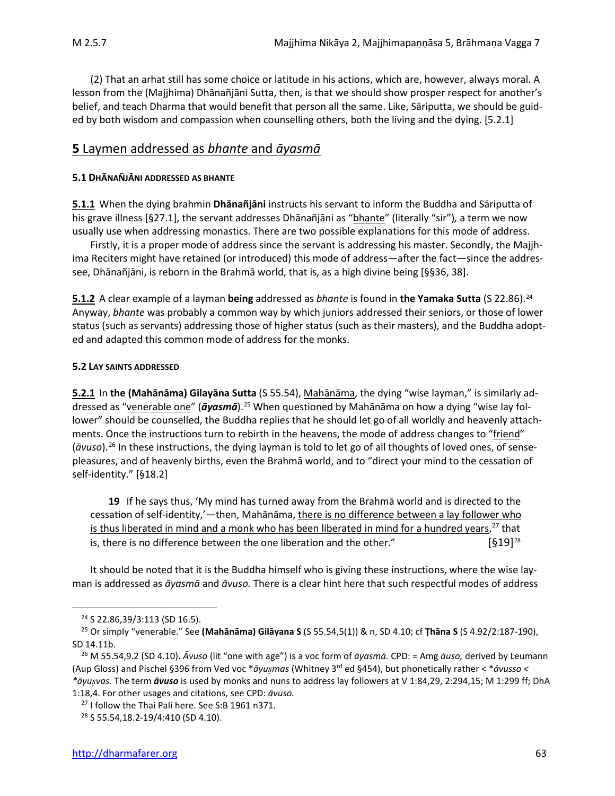(2) That an arhat still has some choice or latitude in his actions, which are, however, always moral. A lesson from the (Majjhima) Dhānañjāni Sutta, then, is that we should show prosper respect for another's belief, and teach Dharma that would benefit that person all the same. Like, Sāriputta, we should be guided by both wisdom and compassion when counselling others, both the living and the dying. [5.2.1]

## **5** Laymen addressed as *bhante* and *āyasmā*

### **5.1 DHĀNAÑJĀNI ADDRESSED AS BHANTE**

**5.1.1** When the dying brahmin **Dhānañjāni** instructs his servant to inform the Buddha and Sāriputta of his grave illness [§27.1], the servant addresses Dhānañjāni as "bhante" (literally "sir"), a term we now usually use when addressing monastics. There are two possible explanations for this mode of address.

Firstly, it is a proper mode of address since the servant is addressing his master. Secondly, the Majjhima Reciters might have retained (or introduced) this mode of address—after the fact—since the addressee, Dhānañjāni, is reborn in the Brahmā world, that is, as a high divine being [§§36, 38].

**5.1.2** A clear example of a layman **being** addressed as *bhante* is found in **the Yamaka Sutta** (S 22.86).[24](#page-4-0) Anyway, *bhante* was probably a common way by which juniors addressed their seniors, or those of lower status (such as servants) addressing those of higher status (such as their masters), and the Buddha adopted and adapted this common mode of address for the monks.

### **5.2 LAY SAINTS ADDRESSED**

**5.2.1** In **the (Mahānāma) Gilayāna Sutta** (S 55.54), Mahānāma, the dying "wise layman," is similarly addressed as "venerable one" (*āyasmā*). [25](#page-4-1) When questioned by Mahānāma on how a dying "wise lay follower" should be counselled, the Buddha replies that he should let go of all worldly and heavenly attachments. Once the instructions turn to rebirth in the heavens, the mode of address changes to "friend" (*āvuso*). [26](#page-4-2) In these instructions, the dying layman is told to let go of all thoughts of loved ones, of sensepleasures, and of heavenly births, even the Brahmā world, and to "direct your mind to the cessation of self-identity." [§18.2]

**19** If he says thus, 'My mind has turned away from the Brahmā world and is directed to the cessation of self-identity,'—then, Mahānāma, there is no difference between a lay follower who is thus liberated in mind and a monk who has been liberated in mind for a hundred years,<sup>[27](#page-4-3)</sup> that is, there is no difference between the one liberation and the other."  $[§19]^{28}$  $[§19]^{28}$  $[§19]^{28}$ 

It should be noted that it is the Buddha himself who is giving these instructions, where the wise layman is addressed as *āyasmā* and *āvuso.* There is a clear hint here that such respectful modes of address

<sup>24</sup> S 22.86,39/3:113 (SD 16.5).

<span id="page-4-1"></span><span id="page-4-0"></span><sup>25</sup> Or simply "venerable." See **(Mahānāma) Gilāyana S** (S 55.54,5(1)) & n, SD 4.10; cf **Ṭhāna S** (S 4.92/2:187-190), SD 14.11b.

<span id="page-4-2"></span><sup>26</sup> M 55.54,9.2 (SD 4.10). *Āvuso* (lit "one with age") is a voc form of *āyasmā.* CPD: = Amg *āuso,* derived by Leumann (Aup Gloss) and Pischel §396 from Ved voc \**āyumas* (Whitney 3rd ed §454), but phonetically rather < \**āvusso < \*āyuvas.* The term *āvuso* is used by monks and nuns to address lay followers at V 1:84,29, 2:294,15; M 1:299 ff; DhA 1:18,4. For other usages and citations, see CPD: *āvuso.*

<span id="page-4-3"></span><sup>&</sup>lt;sup>27</sup> I follow the Thai Pali here. See S:B 1961 n371.

<span id="page-4-4"></span><sup>28</sup> S 55.54,18.2-19/4:410 (SD 4.10).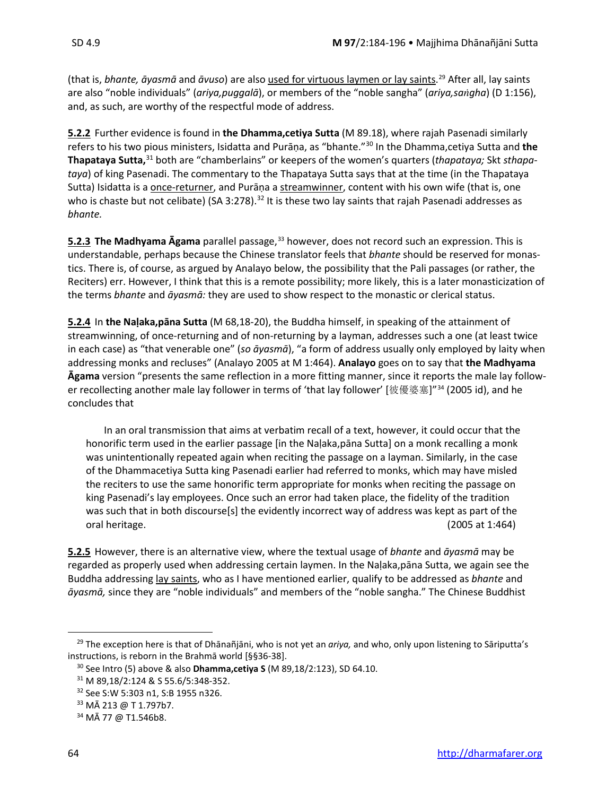(that is, *bhante, āyasmā* and *āvuso*) are also used for virtuous laymen or lay saints. [29](#page-5-0) After all, lay saints are also "noble individuals" (*ariya,puggalā*), or members of the "noble sangha" (*ariya,sagha*) (D 1:156), and, as such, are worthy of the respectful mode of address.

**5.2.2** Further evidence is found in **the Dhamma,cetiya Sutta** (M 89.18), where rajah Pasenadi similarly refers to his two pious ministers, Isidatta and Purāṇa, as "bhante."[30](#page-5-1) In the Dhamma,cetiya Sutta and **the Thapataya Sutta,**[31](#page-5-2) both are "chamberlains" or keepers of the women's quarters (*thapataya;* Skt *sthapataya*) of king Pasenadi. The commentary to the Thapataya Sutta says that at the time (in the Thapataya Sutta) Isidatta is a once-returner, and Purāņa a streamwinner, content with his own wife (that is, one who is chaste but not celibate) (SA 3:278).<sup>[32](#page-5-3)</sup> It is these two lay saints that rajah Pasenadi addresses as *bhante.* 

**5.2.3 The Madhyama Āgama** parallel passage,<sup>[33](#page-5-4)</sup> however, does not record such an expression. This is understandable, perhaps because the Chinese translator feels that *bhante* should be reserved for monastics. There is, of course, as argued by Analayo below, the possibility that the Pali passages (or rather, the Reciters) err. However, I think that this is a remote possibility; more likely, this is a later monasticization of the terms *bhante* and *āyasmā:* they are used to show respect to the monastic or clerical status.

**5.2.4** In **the Naḷaka,pāna Sutta** (M 68,18-20), the Buddha himself, in speaking of the attainment of streamwinning, of once-returning and of non-returning by a layman, addresses such a one (at least twice in each case) as "that venerable one" (*so āyasmā*), "a form of address usually only employed by laity when addressing monks and recluses" (Analayo 2005 at M 1:464). **Analayo** goes on to say that **the Madhyama Āgama** version "presents the same reflection in a more fitting manner, since it reports the male lay follow-er recollecting another male lay follower in terms of 'that lay follower' [彼優婆塞]"<sup>[34](#page-5-5)</sup> (2005 id), and he concludes that

In an oral transmission that aims at verbatim recall of a text, however, it could occur that the honorific term used in the earlier passage [in the Naḷaka,pāna Sutta] on a monk recalling a monk was unintentionally repeated again when reciting the passage on a layman. Similarly, in the case of the Dhammacetiya Sutta king Pasenadi earlier had referred to monks, which may have misled the reciters to use the same honorific term appropriate for monks when reciting the passage on king Pasenadi's lay employees. Once such an error had taken place, the fidelity of the tradition was such that in both discourse[s] the evidently incorrect way of address was kept as part of the oral heritage. (2005 at 1:464)

**5.2.5** However, there is an alternative view, where the textual usage of *bhante* and *āyasmā* may be regarded as properly used when addressing certain laymen. In the Naḷaka,pāna Sutta, we again see the Buddha addressing lay saints, who as I have mentioned earlier, qualify to be addressed as *bhante* and *āyasmā,* since they are "noble individuals" and members of the "noble sangha." The Chinese Buddhist

<span id="page-5-1"></span><span id="page-5-0"></span><sup>29</sup> The exception here is that of Dhānañjāni, who is not yet an *ariya,* and who, only upon listening to Sāriputta's instructions, is reborn in the Brahmā world [§§36-38].

<sup>30</sup> See Intro (5) above & also **Dhamma,cetiya S** (M 89,18/2:123), SD 64.10.

<span id="page-5-2"></span><sup>31</sup> M 89,18/2:124 & S 55.6/5:348-352.

<span id="page-5-3"></span><sup>32</sup> See S:W 5:303 n1, S:B 1955 n326.

<span id="page-5-4"></span><sup>33</sup> MĀ 213 @ T 1.797b7.

<span id="page-5-5"></span><sup>34</sup> MĀ 77 @ T1.546b8.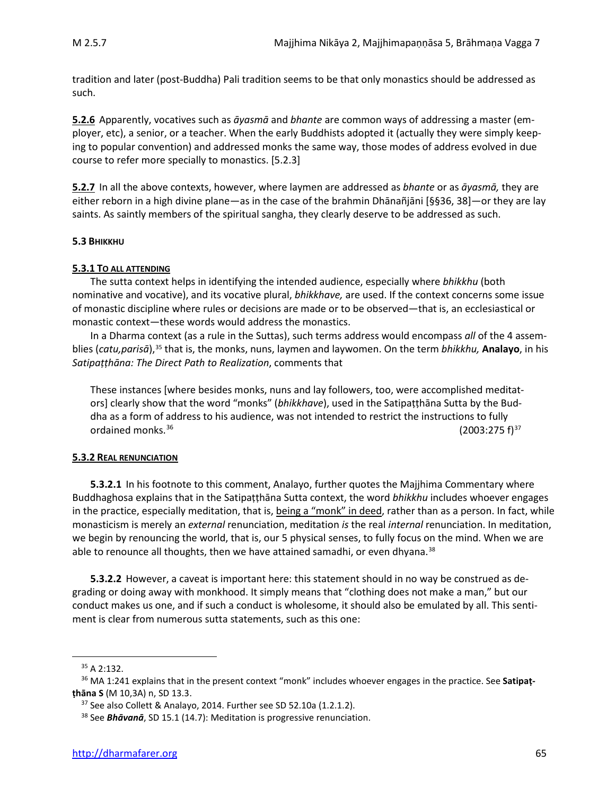tradition and later (post-Buddha) Pali tradition seems to be that only monastics should be addressed as such.

**5.2.6** Apparently, vocatives such as *āyasmā* and *bhante* are common ways of addressing a master (employer, etc), a senior, or a teacher. When the early Buddhists adopted it (actually they were simply keeping to popular convention) and addressed monks the same way, those modes of address evolved in due course to refer more specially to monastics. [5.2.3]

**5.2.7** In all the above contexts, however, where laymen are addressed as *bhante* or as *āyasmā,* they are either reborn in a high divine plane—as in the case of the brahmin Dhānañjāni [§§36, 38]—or they are lay saints. As saintly members of the spiritual sangha, they clearly deserve to be addressed as such.

### **5.3 BHIKKHU**

### **5.3.1 TO ALL ATTENDING**

The sutta context helps in identifying the intended audience, especially where *bhikkhu* (both nominative and vocative), and its vocative plural, *bhikkhave,* are used. If the context concerns some issue of monastic discipline where rules or decisions are made or to be observed—that is, an ecclesiastical or monastic context—these words would address the monastics.

In a Dharma context (as a rule in the Suttas), such terms address would encompass *all* of the 4 assemblies (*catu,parisā*),[35](#page-6-0) that is, the monks, nuns, laymen and laywomen. On the term *bhikkhu,* **Analayo**, in his *Satipaṭṭhāna: The Direct Path to Realization*, comments that

These instances [where besides monks, nuns and lay followers, too, were accomplished meditators] clearly show that the word "monks" (*bhikkhave*), used in the Satipaṭṭhāna Sutta by the Buddha as a form of address to his audience, was not intended to restrict the instructions to fully ordained monks.<sup>[36](#page-6-1)</sup>  $(2003:275 \text{ f})^{37}$  $(2003:275 \text{ f})^{37}$  $(2003:275 \text{ f})^{37}$ 

### **5.3.2 REAL RENUNCIATION**

**5.3.2.1** In his footnote to this comment, Analayo, further quotes the Majjhima Commentary where Buddhaghosa explains that in the Satipaṭṭhāna Sutta context, the word *bhikkhu* includes whoever engages in the practice, especially meditation, that is, being a "monk" in deed, rather than as a person. In fact, while monasticism is merely an *external* renunciation, meditation *is* the real *internal* renunciation. In meditation, we begin by renouncing the world, that is, our 5 physical senses, to fully focus on the mind. When we are able to renounce all thoughts, then we have attained samadhi, or even dhyana.<sup>[38](#page-6-3)</sup>

**5.3.2.2** However, a caveat is important here: this statement should in no way be construed as degrading or doing away with monkhood. It simply means that "clothing does not make a man," but our conduct makes us one, and if such a conduct is wholesome, it should also be emulated by all. This sentiment is clear from numerous sutta statements, such as this one:

<sup>35</sup> A 2:132.

<span id="page-6-2"></span><span id="page-6-1"></span><span id="page-6-0"></span><sup>36</sup> MA 1:241 explains that in the present context "monk" includes whoever engages in the practice. See **Satipaṭṭhāna S** (M 10,3A) n, SD 13.3.

<sup>&</sup>lt;sup>37</sup> See also Collett & Analayo, 2014. Further see SD 52.10a (1.2.1.2).

<span id="page-6-3"></span><sup>38</sup> See *Bhāvanā*, SD 15.1 (14.7): Meditation is progressive renunciation.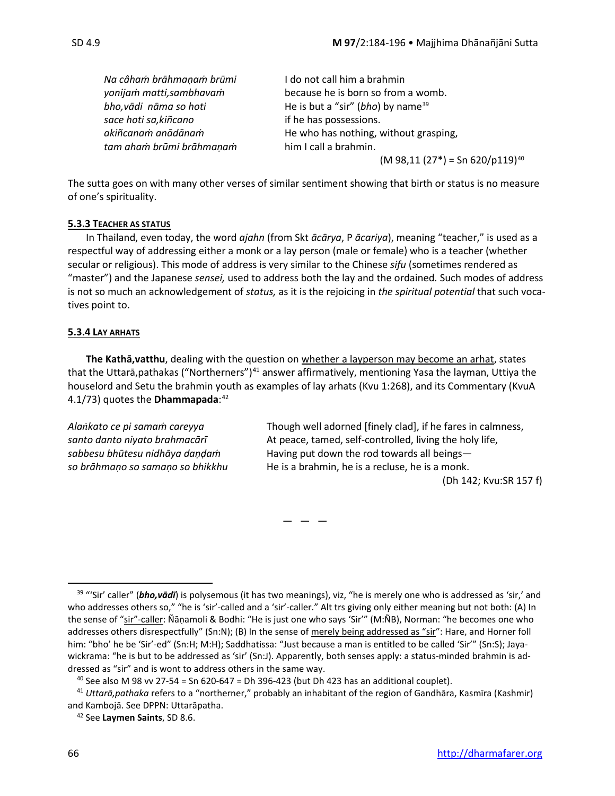| Na câham brāhmaņam brūmi | I do not call him a brahmin                    |
|--------------------------|------------------------------------------------|
| yonijam matti, sambhavam | because he is born so from a womb.             |
| bho, vādi nāma so hoti   | He is but a "sir" (bho) by name $39$           |
| sace hoti sa, kiñcano    | if he has possessions.                         |
| akiñcanam anādānam       | He who has nothing, without grasping,          |
| tam aham brūmi brāhmanam | him I call a brahmin.                          |
|                          | $(M 98, 11 (27*)$ = Sn 620/p119) <sup>40</sup> |

The sutta goes on with many other verses of similar sentiment showing that birth or status is no measure of one's spirituality.

### **5.3.3 TEACHER AS STATUS**

In Thailand, even today, the word *ajahn* (from Skt *ācārya*, P *ācariya*), meaning "teacher," is used as a respectful way of addressing either a monk or a lay person (male or female) who is a teacher (whether secular or religious). This mode of address is very similar to the Chinese *sifu* (sometimes rendered as "master") and the Japanese *sensei,* used to address both the lay and the ordained*.* Such modes of address is not so much an acknowledgement of *status,* as it is the rejoicing in *the spiritual potential* that such vocatives point to.

### **5.3.4 LAY ARHATS**

**The Kathā,vatthu**, dealing with the question on whether a layperson may become an arhat, states that the Uttarā, pathakas ("Northerners")<sup>[41](#page-7-2)</sup> answer affirmatively, mentioning Yasa the layman, Uttiya the houselord and Setu the brahmin youth as examples of lay arhats (Kvu 1:268), and its Commentary (KvuA 4.1/73) quotes the **Dhammapada**:[42](#page-7-3)

*Alakato ce pi samaṁ careyya* Though well adorned [finely clad], if he fares in calmness, *santo danto niyato brahmacārī* At peace, tamed, self-controlled, living the holy life, *sabbesu bhūtesu nidhāya daṇḍaṁ* Having put down the rod towards all beings *so brāhmaṇo so samaṇo so bhikkhu* He is a brahmin, he is a recluse, he is a monk. (Dh 142; Kvu:SR 157 f)

 $- - -$ 

<span id="page-7-0"></span><sup>39</sup> "'Sir' caller" (*bho,vādī*) is polysemous (it has two meanings), viz, "he is merely one who is addressed as 'sir,' and who addresses others so," "he is 'sir'-called and a 'sir'-caller." Alt trs giving only either meaning but not both: (A) In the sense of "sir"-caller: Ñāṇamoli & Bodhi: "He is just one who says 'Sir'" (M:ÑB), Norman: "he becomes one who addresses others disrespectfully" (Sn:N); (B) In the sense of merely being addressed as "sir": Hare, and Horner foll him: "bho' he be 'Sir'-ed" (Sn:H; M:H); Saddhatissa: "Just because a man is entitled to be called 'Sir'" (Sn:S); Jayawickrama: "he is but to be addressed as 'sir' (Sn:J). Apparently, both senses apply: a status-minded brahmin is addressed as "sir" and is wont to address others in the same way.

 $40$  See also M 98 vv 27-54 = Sn 620-647 = Dh 396-423 (but Dh 423 has an additional couplet).

<span id="page-7-3"></span><span id="page-7-2"></span><span id="page-7-1"></span><sup>41</sup> *Uttarā,pathaka* refers to a "northerner," probably an inhabitant of the region of Gandhāra, Kasmīra (Kashmir) and Kambojā. See DPPN: Uttarāpatha.

<sup>42</sup> See **Laymen Saints**, SD 8.6.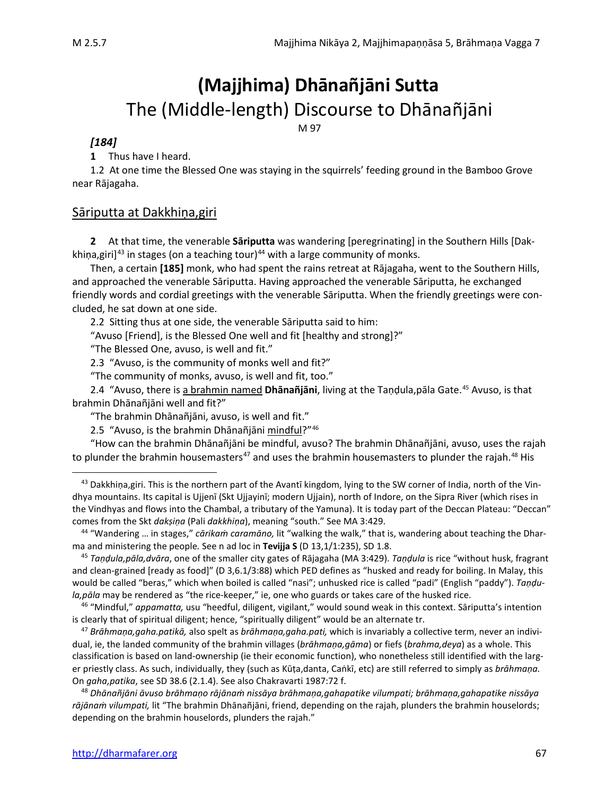## **(Majjhima) Dhānañjāni Sutta** The (Middle-length) Discourse to Dhānañjāni

M 97

### *[184]*

**1** Thus have I heard.

1.2 At one time the Blessed One was staying in the squirrels' feeding ground in the Bamboo Grove near Rājagaha.

### Sāriputta at Dakkhiṇa,giri

**2** At that time, the venerable **Sāriputta** was wandering [peregrinating] in the Southern Hills [Dak-khiņa, giri]<sup>[43](#page-8-0)</sup> in stages (on a teaching tour)<sup>[44](#page-8-1)</sup> with a large community of monks.

Then, a certain **[185]** monk, who had spent the rains retreat at Rājagaha, went to the Southern Hills, and approached the venerable Sāriputta. Having approached the venerable Sāriputta, he exchanged friendly words and cordial greetings with the venerable Sāriputta. When the friendly greetings were concluded, he sat down at one side.

2.2 Sitting thus at one side, the venerable Sāriputta said to him:

"Avuso [Friend], is the Blessed One well and fit [healthy and strong]?"

"The Blessed One, avuso, is well and fit."

2.3 "Avuso, is the community of monks well and fit?"

"The community of monks, avuso, is well and fit, too."

2.4 "Avuso, there is a brahmin named **Dhānañjāni**, living at the Taṇḍula,pāla Gate.[45](#page-8-2) Avuso, is that brahmin Dhānañjāni well and fit?"

"The brahmin Dhānañjāni, avuso, is well and fit."

2.5 "Avuso, is the brahmin Dhānañjāni mindful?"[46](#page-8-3)

"How can the brahmin Dhānañjāni be mindful, avuso? The brahmin Dhānañjāni, avuso, uses the rajah to plunder the brahmin housemasters<sup>[47](#page-8-4)</sup> and uses the brahmin housemasters to plunder the rajah.<sup>[48](#page-8-5)</sup> His

<span id="page-8-3"></span><sup>46</sup> "Mindful," *appamatta,* usu "heedful, diligent, vigilant," would sound weak in this context. Sāriputta's intention is clearly that of spiritual diligent; hence, "spiritually diligent" would be an alternate tr.

<span id="page-8-4"></span><sup>47</sup> *Brāhmaṇa,gaha.patikā,* also spelt as *brāhmaṇa,gaha.pati,* which is invariably a collective term, never an individual, ie, the landed community of the brahmin villages (*brāhmaṇa,gāma*) or fiefs (*brahma,deya*) as a whole. This classification is based on land-ownership (ie their economic function), who nonetheless still identified with the larger priestly class. As such, individually, they (such as Kūṭa,danta, Caṅkī, etc) are still referred to simply as *brāhmaṇa.* On *gaha,patika*, see SD 38.6 (2.1.4). See also Chakravarti 1987:72 f.

<span id="page-8-5"></span><sup>48</sup> *Dhānañjāni āvuso brāhmaṇo rājānaṁ nissāya brāhmaṇa,gahapatike vilumpati; brāhmaṇa,gahapatike nissāya rājānaṁ vilumpati,* lit "The brahmin Dhānañjāni, friend, depending on the rajah, plunders the brahmin houselords; depending on the brahmin houselords, plunders the rajah."

<span id="page-8-0"></span><sup>&</sup>lt;sup>43</sup> Dakkhiṇa,giri. This is the northern part of the Avantī kingdom, lying to the SW corner of India, north of the Vindhya mountains. Its capital is Ujjenī (Skt Ujjayinī; modern Ujjain), north of Indore, on the Sipra River (which rises in the Vindhyas and flows into the Chambal, a tributary of the Yamuna). It is today part of the Deccan Plateau: "Deccan" comes from the Skt *dakṣiṇa* (Pali *dakkhiṇa*), meaning "south." See MA 3:429.

<span id="page-8-1"></span><sup>44</sup> "Wandering … in stages," *cārikaṁ caramāno,* lit "walking the walk," that is, wandering about teaching the Dharma and ministering the people*.* See n ad loc in **Tevijja S** (D 13,1/1:235), SD 1.8.

<span id="page-8-2"></span><sup>45</sup> *Taṇḍula,pāla,dvāra*, one of the smaller city gates of Rājagaha (MA 3:429). *Taṇḍula* is rice "without husk, fragrant and clean-grained [ready as food]" (D 3,6.1/3:88) which PED defines as "husked and ready for boiling. In Malay, this would be called "beras," which when boiled is called "nasi"; unhusked rice is called "padi" (English "paddy"). *Taṇḍula,pāla* may be rendered as "the rice-keeper," ie, one who guards or takes care of the husked rice.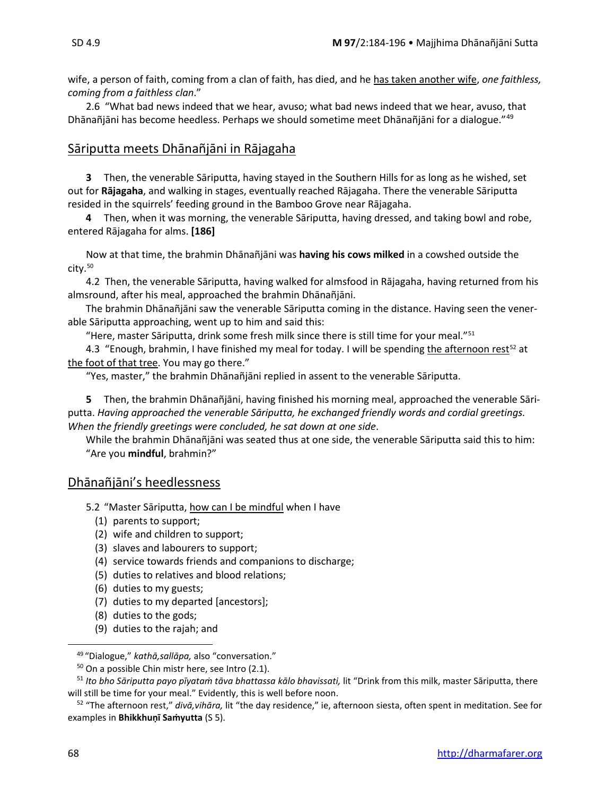wife, a person of faith, coming from a clan of faith, has died, and he has taken another wife, *one faithless, coming from a faithless clan*."

2.6 "What bad news indeed that we hear, avuso; what bad news indeed that we hear, avuso, that Dhānañjāni has become heedless. Perhaps we should sometime meet Dhānañjāni for a dialogue."<sup>[49](#page-9-0)</sup>

## Sāriputta meets Dhānañjāni in Rājagaha

**3** Then, the venerable Sāriputta, having stayed in the Southern Hills for as long as he wished, set out for **Rājagaha**, and walking in stages, eventually reached Rājagaha. There the venerable Sāriputta resided in the squirrels' feeding ground in the Bamboo Grove near Rājagaha.

**4** Then, when it was morning, the venerable Sāriputta, having dressed, and taking bowl and robe, entered Rājagaha for alms. **[186]**

Now at that time, the brahmin Dhānañjāni was **having his cows milked** in a cowshed outside the  $citv.50$  $citv.50$ 

4.2 Then, the venerable Sāriputta, having walked for almsfood in Rājagaha, having returned from his almsround, after his meal, approached the brahmin Dhānañjāni.

The brahmin Dhānañjāni saw the venerable Sāriputta coming in the distance. Having seen the venerable Sāriputta approaching, went up to him and said this:

"Here, master Sāriputta, drink some fresh milk since there is still time for your meal."[51](#page-9-2)

4.3 "Enough, brahmin, I have finished my meal for today. I will be spending the afternoon rest<sup>[52](#page-9-3)</sup> at the foot of that tree. You may go there."

"Yes, master," the brahmin Dhānañjāni replied in assent to the venerable Sāriputta.

**5** Then, the brahmin Dhānañjāni, having finished his morning meal, approached the venerable Sāriputta. *Having approached the venerable Sāriputta, he exchanged friendly words and cordial greetings. When the friendly greetings were concluded, he sat down at one side*.

While the brahmin Dhānañjāni was seated thus at one side, the venerable Sāriputta said this to him: "Are you **mindful**, brahmin?"

### Dhānañjāni's heedlessness

5.2 "Master Sāriputta, how can I be mindful when I have

- (1) parents to support;
- (2) wife and children to support;
- (3) slaves and labourers to support;
- (4) service towards friends and companions to discharge;
- (5) duties to relatives and blood relations;
- (6) duties to my guests;
- (7) duties to my departed [ancestors];
- (8) duties to the gods;
- (9) duties to the rajah; and

<sup>49</sup> "Dialogue," *kathā,sallāpa,* also "conversation."

 $50$  On a possible Chin mistr here, see Intro (2.1).

<span id="page-9-2"></span><span id="page-9-1"></span><span id="page-9-0"></span><sup>51</sup> *Ito bho Sāriputta payo pīyataṁ tāva bhattassa kālo bhavissati,* lit "Drink from this milk, master Sāriputta, there will still be time for your meal." Evidently, this is well before noon.

<span id="page-9-3"></span><sup>52</sup> "The afternoon rest," *divā,vihāra,* lit "the day residence," ie, afternoon siesta, often spent in meditation. See for examples in **Bhikkhuṇī Saṁyutta** (S 5).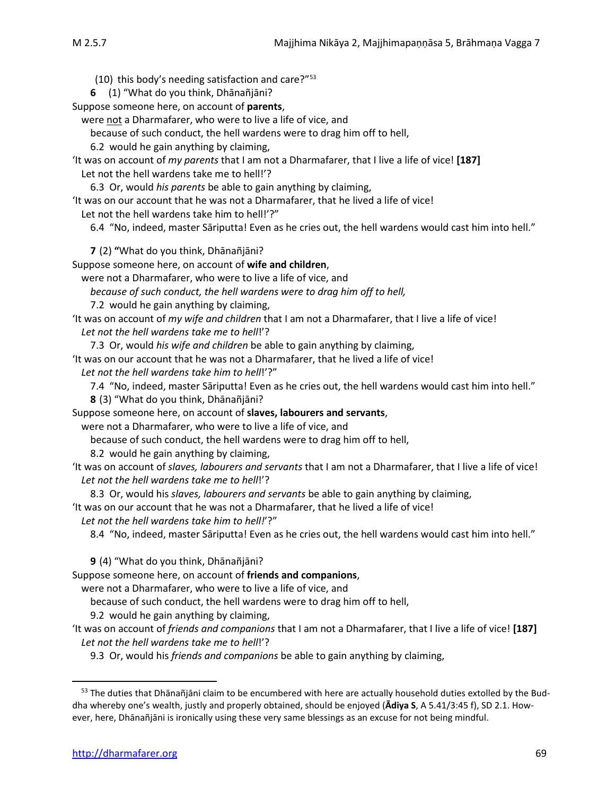(10) this body's needing satisfaction and care?"[53](#page-10-0)

**6** (1) "What do you think, Dhānañjāni?

Suppose someone here, on account of **parents**,

were not a Dharmafarer, who were to live a life of vice, and

because of such conduct, the hell wardens were to drag him off to hell,

6.2 would he gain anything by claiming,

'It was on account of *my parents* that I am not a Dharmafarer, that I live a life of vice! **[187]** Let not the hell wardens take me to hell!'?

6.3 Or, would *his parents* be able to gain anything by claiming,

'It was on our account that he was not a Dharmafarer, that he lived a life of vice!

Let not the hell wardens take him to hell!'?"

6.4 "No, indeed, master Sāriputta! Even as he cries out, the hell wardens would cast him into hell."

**7** (2) **"**What do you think, Dhānañjāni?

Suppose someone here, on account of **wife and children**,

were not a Dharmafarer, who were to live a life of vice, and

*because of such conduct, the hell wardens were to drag him off to hell,* 

7.2 would he gain anything by claiming,

'It was on account of *my wife and children* that I am not a Dharmafarer, that I live a life of vice! *Let not the hell wardens take me to hell*!'?

7.3 Or, would *his wife and children* be able to gain anything by claiming,

'It was on our account that he was not a Dharmafarer, that he lived a life of vice!

*Let not the hell wardens take him to hell*!'?"

7.4 "No, indeed, master Sāriputta! Even as he cries out, the hell wardens would cast him into hell."

**8** (3) "What do you think, Dhānañjāni?

Suppose someone here, on account of **slaves, labourers and servants**,

were not a Dharmafarer, who were to live a life of vice, and

because of such conduct, the hell wardens were to drag him off to hell,

8.2 would he gain anything by claiming,

'It was on account of *slaves, labourers and servants* that I am not a Dharmafarer, that I live a life of vice! *Let not the hell wardens take me to hell*!'?

8.3 Or, would his *slaves, labourers and servants* be able to gain anything by claiming,

'It was on our account that he was not a Dharmafarer, that he lived a life of vice!

*Let not the hell wardens take him to hell!*'?"

8.4 "No, indeed, master Sāriputta! Even as he cries out, the hell wardens would cast him into hell."

**9** (4) "What do you think, Dhānañjāni?

Suppose someone here, on account of **friends and companions**,

were not a Dharmafarer, who were to live a life of vice, and

because of such conduct, the hell wardens were to drag him off to hell,

9.2 would he gain anything by claiming,

'It was on account of *friends and companions* that I am not a Dharmafarer, that I live a life of vice! **[187]** *Let not the hell wardens take me to hell*!'?

9.3 Or, would his *friends and companions* be able to gain anything by claiming,

<span id="page-10-0"></span><sup>&</sup>lt;sup>53</sup> The duties that Dhānañjāni claim to be encumbered with here are actually household duties extolled by the Buddha whereby one's wealth, justly and properly obtained, should be enjoyed (Adiya S, A 5.41/3:45 f), SD 2.1. However, here, Dhānañjāni is ironically using these very same blessings as an excuse for not being mindful.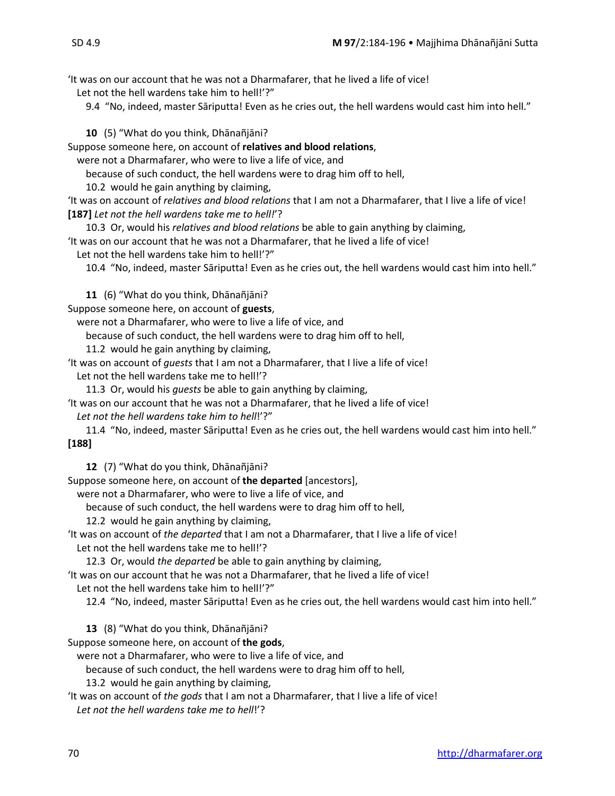'It was on our account that he was not a Dharmafarer, that he lived a life of vice!

Let not the hell wardens take him to hell!'?"

9.4 "No, indeed, master Sāriputta! Even as he cries out, the hell wardens would cast him into hell."

**10** (5) "What do you think, Dhānañjāni?

Suppose someone here, on account of **relatives and blood relations**,

were not a Dharmafarer, who were to live a life of vice, and

because of such conduct, the hell wardens were to drag him off to hell,

10.2 would he gain anything by claiming,

'It was on account of *relatives and blood relations* that I am not a Dharmafarer, that I live a life of vice! **[187]** *Let not the hell wardens take me to hell!*'?

10.3 Or, would his *relatives and blood relations* be able to gain anything by claiming,

'It was on our account that he was not a Dharmafarer, that he lived a life of vice!

Let not the hell wardens take him to hell!'?"

10.4 "No, indeed, master Sāriputta! Even as he cries out, the hell wardens would cast him into hell."

**11** (6) "What do you think, Dhānañjāni?

Suppose someone here, on account of **guests**,

were not a Dharmafarer, who were to live a life of vice, and

because of such conduct, the hell wardens were to drag him off to hell,

11.2 would he gain anything by claiming,

'It was on account of *guests* that I am not a Dharmafarer, that I live a life of vice! Let not the hell wardens take me to hell!'?

11.3 Or, would his *guests* be able to gain anything by claiming,

'It was on our account that he was not a Dharmafarer, that he lived a life of vice!

*Let not the hell wardens take him to hell*!'?"

11.4 "No, indeed, master Sāriputta! Even as he cries out, the hell wardens would cast him into hell." **[188]**

**12** (7) "What do you think, Dhānañjāni?

Suppose someone here, on account of **the departed** [ancestors],

were not a Dharmafarer, who were to live a life of vice, and

because of such conduct, the hell wardens were to drag him off to hell,

12.2 would he gain anything by claiming,

'It was on account of *the departed* that I am not a Dharmafarer, that I live a life of vice!

Let not the hell wardens take me to hell!'?

12.3 Or, would *the departed* be able to gain anything by claiming,

'It was on our account that he was not a Dharmafarer, that he lived a life of vice! Let not the hell wardens take him to hell!'?"

12.4 "No, indeed, master Sāriputta! Even as he cries out, the hell wardens would cast him into hell."

**13** (8) "What do you think, Dhānañjāni?

Suppose someone here, on account of **the gods**,

were not a Dharmafarer, who were to live a life of vice, and

because of such conduct, the hell wardens were to drag him off to hell,

13.2 would he gain anything by claiming,

'It was on account of *the gods* that I am not a Dharmafarer, that I live a life of vice! *Let not the hell wardens take me to hell*!'?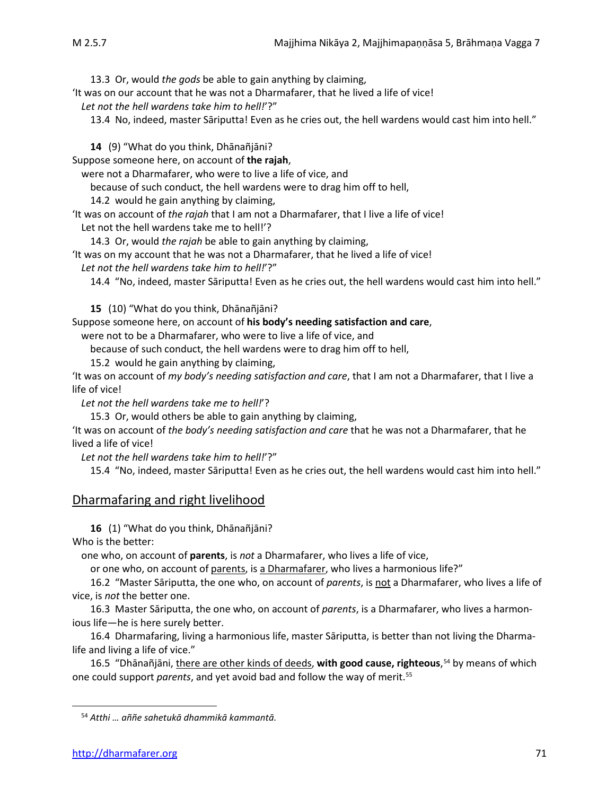13.3 Or, would *the gods* be able to gain anything by claiming,

'It was on our account that he was not a Dharmafarer, that he lived a life of vice!

*Let not the hell wardens take him to hell!*'?"

13.4 No, indeed, master Sāriputta! Even as he cries out, the hell wardens would cast him into hell."

**14** (9) "What do you think, Dhānañjāni?

Suppose someone here, on account of **the rajah**,

were not a Dharmafarer, who were to live a life of vice, and

because of such conduct, the hell wardens were to drag him off to hell,

14.2 would he gain anything by claiming,

'It was on account of *the rajah* that I am not a Dharmafarer, that I live a life of vice!

Let not the hell wardens take me to hell!'?

14.3 Or, would *the rajah* be able to gain anything by claiming,

'It was on my account that he was not a Dharmafarer, that he lived a life of vice!

*Let not the hell wardens take him to hell!*'?"

14.4 "No, indeed, master Sāriputta! Even as he cries out, the hell wardens would cast him into hell."

**15** (10) "What do you think, Dhānañjāni?

Suppose someone here, on account of **his body's needing satisfaction and care**,

were not to be a Dharmafarer, who were to live a life of vice, and

because of such conduct, the hell wardens were to drag him off to hell,

15.2 would he gain anything by claiming,

'It was on account of *my body's needing satisfaction and care*, that I am not a Dharmafarer, that I live a life of vice!

*Let not the hell wardens take me to hell!*'?

15.3 Or, would others be able to gain anything by claiming,

'It was on account of *the body's needing satisfaction and care* that he was not a Dharmafarer, that he lived a life of vice!

*Let not the hell wardens take him to hell!*'?"

15.4 "No, indeed, master Sāriputta! Even as he cries out, the hell wardens would cast him into hell."

## Dharmafaring and right livelihood

**16** (1) "What do you think, Dhānañjāni?

Who is the better:

one who, on account of **parents**, is *not* a Dharmafarer, who lives a life of vice,

or one who, on account of parents, is a Dharmafarer, who lives a harmonious life?"

16.2 "Master Sāriputta, the one who, on account of *parents*, is not a Dharmafarer, who lives a life of vice, is *not* the better one.

16.3 Master Sāriputta, the one who, on account of *parents*, is a Dharmafarer, who lives a harmonious life—he is here surely better.

16.4 Dharmafaring, living a harmonious life, master Sāriputta, is better than not living the Dharmalife and living a life of vice."

<span id="page-12-1"></span>16.5 "Dhānañjāni, there are other kinds of deeds, **with good cause, righteous**, [54](#page-12-0) by means of which one could support *parents*, and yet avoid bad and follow the way of merit.[55](#page-12-1)

<span id="page-12-0"></span><sup>54</sup> *Atthi … aññe sahetukā dhammikā kammantā.*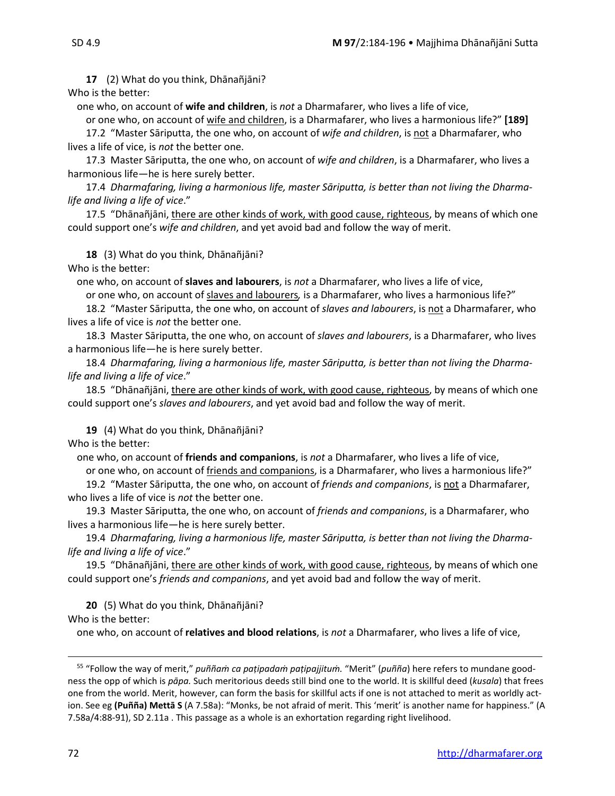**17** (2) What do you think, Dhānañjāni? Who is the better:

one who, on account of **wife and children**, is *not* a Dharmafarer, who lives a life of vice,

or one who, on account of wife and children, is a Dharmafarer, who lives a harmonious life?" **[189]**

17.2 "Master Sāriputta, the one who, on account of *wife and children*, is not a Dharmafarer, who lives a life of vice, is *not* the better one.

17.3 Master Sāriputta, the one who, on account of *wife and children*, is a Dharmafarer, who lives a harmonious life—he is here surely better.

17.4 *Dharmafaring, living a harmonious life, master Sāriputta, is better than not living the Dharmalife and living a life of vice*."

17.5 "Dhānañjāni, there are other kinds of work, with good cause, righteous, by means of which one could support one's *wife and children*, and yet avoid bad and follow the way of merit.

**18** (3) What do you think, Dhānañjāni? Who is the better:

one who, on account of **slaves and labourers**, is *not* a Dharmafarer, who lives a life of vice,

or one who, on account of slaves and labourers*,* is a Dharmafarer, who lives a harmonious life?"

18.2 "Master Sāriputta, the one who, on account of *slaves and labourers*, is not a Dharmafarer, who lives a life of vice is *not* the better one.

18.3 Master Sāriputta, the one who, on account of *slaves and labourers*, is a Dharmafarer, who lives a harmonious life—he is here surely better.

18.4 *Dharmafaring, living a harmonious life, master Sāriputta, is better than not living the Dharmalife and living a life of vice*."

18.5 "Dhānañjāni, there are other kinds of work, with good cause, righteous, by means of which one could support one's *slaves and labourers*, and yet avoid bad and follow the way of merit.

**19** (4) What do you think, Dhānañjāni?

Who is the better:

one who, on account of **friends and companions**, is *not* a Dharmafarer, who lives a life of vice,

or one who, on account of friends and companions, is a Dharmafarer, who lives a harmonious life?"

19.2 "Master Sāriputta, the one who, on account of *friends and companions*, is not a Dharmafarer, who lives a life of vice is *not* the better one.

19.3 Master Sāriputta, the one who, on account of *friends and companions*, is a Dharmafarer, who lives a harmonious life—he is here surely better.

19.4 *Dharmafaring, living a harmonious life, master Sāriputta, is better than not living the Dharmalife and living a life of vice*."

19.5 "Dhānañjāni, there are other kinds of work, with good cause, righteous, by means of which one could support one's *friends and companions*, and yet avoid bad and follow the way of merit.

**20** (5) What do you think, Dhānañjāni? Who is the better:

one who, on account of **relatives and blood relations**, is *not* a Dharmafarer, who lives a life of vice,

<sup>55</sup> "Follow the way of merit," *puññaṁ ca paṭipadaṁ paṭipajjituṁ.* "Merit" (*puñña*) here refers to mundane goodness the opp of which is *pāpa.* Such meritorious deeds still bind one to the world. It is skillful deed (*kusala*) that frees one from the world. Merit, however, can form the basis for skillful acts if one is not attached to merit as worldly action. See eg **(Puñña) Mettā S** (A 7.58a): "Monks, be not afraid of merit. This 'merit' is another name for happiness." (A 7.58a/4:88-91), SD 2.11a . This passage as a whole is an exhortation regarding right livelihood.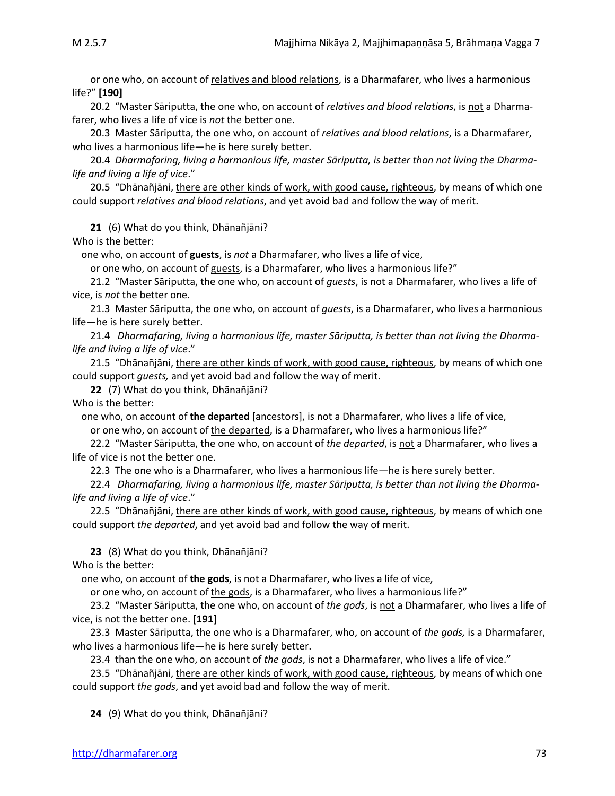or one who, on account of relatives and blood relations, is a Dharmafarer, who lives a harmonious life?" **[190]**

20.2 "Master Sāriputta, the one who, on account of *relatives and blood relations*, is not a Dharmafarer, who lives a life of vice is *not* the better one.

20.3 Master Sāriputta, the one who, on account of *relatives and blood relations*, is a Dharmafarer, who lives a harmonious life—he is here surely better.

20.4 *Dharmafaring, living a harmonious life, master Sāriputta, is better than not living the Dharmalife and living a life of vice*."

20.5 "Dhānañjāni, there are other kinds of work, with good cause, righteous, by means of which one could support *relatives and blood relations*, and yet avoid bad and follow the way of merit.

**21** (6) What do you think, Dhānañjāni?

Who is the better:

one who, on account of **guests**, is *not* a Dharmafarer, who lives a life of vice,

or one who, on account of guests, is a Dharmafarer, who lives a harmonious life?"

21.2 "Master Sāriputta, the one who, on account of *guests*, is not a Dharmafarer, who lives a life of vice, is *not* the better one.

21.3 Master Sāriputta, the one who, on account of *guests*, is a Dharmafarer, who lives a harmonious life—he is here surely better.

21.4 *Dharmafaring, living a harmonious life, master Sāriputta, is better than not living the Dharmalife and living a life of vice*."

21.5 "Dhānañjāni, there are other kinds of work, with good cause, righteous, by means of which one could support *guests,* and yet avoid bad and follow the way of merit.

**22** (7) What do you think, Dhānañjāni?

Who is the better:

one who, on account of **the departed** [ancestors], is not a Dharmafarer, who lives a life of vice,

or one who, on account of the departed, is a Dharmafarer, who lives a harmonious life?"

22.2 "Master Sāriputta, the one who, on account of *the departed*, is not a Dharmafarer, who lives a life of vice is not the better one.

22.3 The one who is a Dharmafarer, who lives a harmonious life—he is here surely better.

22.4 *Dharmafaring, living a harmonious life, master Sāriputta, is better than not living the Dharmalife and living a life of vice*."

22.5 "Dhānañjāni, there are other kinds of work, with good cause, righteous, by means of which one could support *the departed*, and yet avoid bad and follow the way of merit.

**23** (8) What do you think, Dhānañjāni? Who is the better:

one who, on account of **the gods**, is not a Dharmafarer, who lives a life of vice,

or one who, on account of the gods, is a Dharmafarer, who lives a harmonious life?"

23.2 "Master Sāriputta, the one who, on account of *the gods*, is not a Dharmafarer, who lives a life of vice, is not the better one. **[191]** 

23.3Master Sāriputta, the one who is a Dharmafarer, who, on account of *the gods,* is a Dharmafarer, who lives a harmonious life—he is here surely better.

23.4 than the one who, on account of *the gods*, is not a Dharmafarer, who lives a life of vice."

23.5 "Dhānañjāni, *there are other kinds of work, with good cause, righteous, by means of which one* could support *the gods*, and yet avoid bad and follow the way of merit.

**24** (9) What do you think, Dhānañjāni?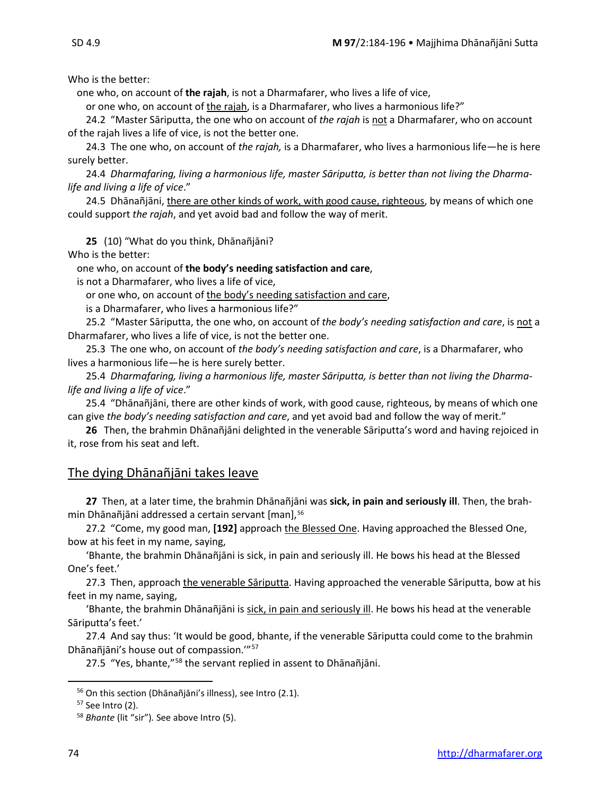Who is the better:

one who, on account of **the rajah**, is not a Dharmafarer, who lives a life of vice,

or one who, on account of the rajah, is a Dharmafarer, who lives a harmonious life?"

24.2 "Master Sāriputta, the one who on account of *the rajah* is not a Dharmafarer, who on account of the rajah lives a life of vice, is not the better one.

24.3 The one who, on account of *the rajah,* is a Dharmafarer, who lives a harmonious life—he is here surely better.

24.4 *Dharmafaring, living a harmonious life, master Sāriputta, is better than not living the Dharmalife and living a life of vice*."

24.5 Dhānañjāni, there are other kinds of work, with good cause, righteous, by means of which one could support *the rajah*, and yet avoid bad and follow the way of merit.

**25** (10) "What do you think, Dhānañjāni?

Who is the better:

one who, on account of **the body's needing satisfaction and care**,

is not a Dharmafarer, who lives a life of vice,

or one who, on account of the body's needing satisfaction and care,

is a Dharmafarer, who lives a harmonious life?"

25.2 "Master Sāriputta, the one who, on account of *the body's needing satisfaction and care*, is not a Dharmafarer, who lives a life of vice, is not the better one.

25.3 The one who, on account of *the body's needing satisfaction and care*, is a Dharmafarer, who lives a harmonious life—he is here surely better.

25.4 *Dharmafaring, living a harmonious life, master Sāriputta, is better than not living the Dharmalife and living a life of vice*."

25.4 "Dhānañjāni, there are other kinds of work, with good cause, righteous, by means of which one can give *the body's needing satisfaction and care*, and yet avoid bad and follow the way of merit."

**26** Then, the brahmin Dhānañjāni delighted in the venerable Sāriputta's word and having rejoiced in it, rose from his seat and left.

## The dying Dhānañjāni takes leave

**27** Then, at a later time, the brahmin Dhānañjāni was **sick, in pain and seriously ill**. Then, the brahmin Dhānañjāni addressed a certain servant [man], [56](#page-15-0)

27.2 "Come, my good man, **[192]** approach the Blessed One. Having approached the Blessed One, bow at his feet in my name, saying,

'Bhante, the brahmin Dhānañjāni is sick, in pain and seriously ill. He bows his head at the Blessed One's feet.'

27.3 Then, approach the venerable Sāriputta. Having approached the venerable Sāriputta, bow at his feet in my name, saying,

'Bhante, the brahmin Dhānañjāni is sick, in pain and seriously ill. He bows his head at the venerable Sāriputta's feet.'

27.4 And say thus: 'It would be good, bhante, if the venerable Sāriputta could come to the brahmin Dhānañjāni's house out of compassion.'"[57](#page-15-1)

27.5 "Yes, bhante,"<sup>[58](#page-15-2)</sup> the servant replied in assent to Dhānañjāni.

<span id="page-15-0"></span><sup>56</sup> On this section (Dhānañjāni's illness), see Intro (2.1).

<span id="page-15-1"></span><sup>57</sup> See Intro (2).

<span id="page-15-2"></span><sup>58</sup> *Bhante* (lit "sir")*.* See above Intro (5).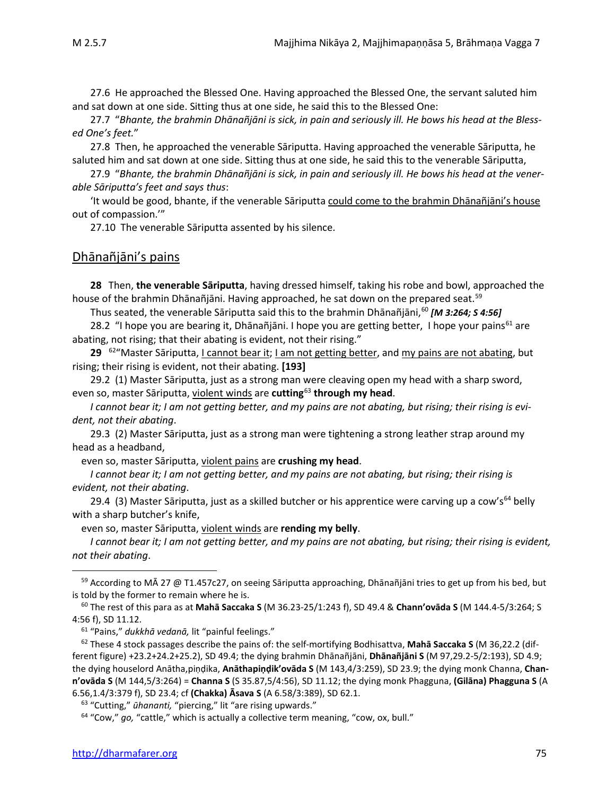27.6He approached the Blessed One. Having approached the Blessed One, the servant saluted him and sat down at one side. Sitting thus at one side, he said this to the Blessed One:

27.7 "*Bhante, the brahmin Dhānañjāni is sick, in pain and seriously ill. He bows his head at the Blessed One's feet.*"

27.8Then, he approached the venerable Sāriputta. Having approached the venerable Sāriputta, he saluted him and sat down at one side. Sitting thus at one side, he said this to the venerable Sāriputta,

27.9 "*Bhante, the brahmin Dhānañjāni is sick, in pain and seriously ill. He bows his head at the venerable Sāriputta's feet and says thus*:

'It would be good, bhante, if the venerable Sāriputta could come to the brahmin Dhānañjāni's house out of compassion.'"

27.10 The venerable Sāriputta assented by his silence.

### Dhānañjāni's pains

**28** Then, **the venerable Sāriputta**, having dressed himself, taking his robe and bowl, approached the house of the brahmin Dhānañjāni. Having approached, he sat down on the prepared seat.<sup>[59](#page-16-0)</sup>

Thus seated, the venerable Sāriputta said this to the brahmin Dhānañjāni,<sup>[60](#page-16-1)</sup> [M 3:264; S 4:56]

28.2 "I hope you are bearing it, Dhānañjāni. I hope you are getting better, I hope your pains<sup>[61](#page-16-2)</sup> are abating, not rising; that their abating is evident, not their rising."

29 <sup>[62](#page-16-3)</sup>"Master Sāriputta, I cannot bear it; I am not getting better, and my pains are not abating, but rising; their rising is evident, not their abating. **[193]**

29.2 (1) Master Sāriputta, just as a strong man were cleaving open my head with a sharp sword, even so, master Sāriputta, violent winds are **cutting**[63](#page-16-4) **through my head**.

*I cannot bear it; I am not getting better, and my pains are not abating, but rising; their rising is evident, not their abating*.

29.3 (2) Master Sāriputta, just as a strong man were tightening a strong leather strap around my head as a headband,

even so, master Sāriputta, violent pains are **crushing my head**.

*I cannot bear it; I am not getting better, and my pains are not abating, but rising; their rising is evident, not their abating*.

29.4 (3) Master Sāriputta, just as a skilled butcher or his apprentice were carving up a cow's<sup>[64](#page-16-5)</sup> belly with a sharp butcher's knife,

even so, master Sāriputta, violent winds are **rending my belly**.

*I cannot bear it; I am not getting better, and my pains are not abating, but rising; their rising is evident, not their abating*.

<span id="page-16-0"></span><sup>59</sup> According to MĀ 27 @ T1.457c27, on seeing Sāriputta approaching, Dhānañjāni tries to get up from his bed, but is told by the former to remain where he is.

<span id="page-16-1"></span><sup>60</sup> The rest of this para as at **Mahā Saccaka S** (M 36.23-25/1:243 f), SD 49.4 & **Chann'ovāda S** (M 144.4-5/3:264; S 4:56 f), SD 11.12. 61 "Pains," *dukkhā vedanā,* lit "painful feelings."

<span id="page-16-3"></span><span id="page-16-2"></span><sup>62</sup> These 4 stock passages describe the pains of: the self-mortifying Bodhisattva, **Mahā Saccaka S** (M 36,22.2 (different figure) +23.2+24.2+25.2), SD 49.4; the dying brahmin Dhānañjāni, **Dhānañjāni S** (M 97,29.2-5/2:193), SD 4.9; the dying houselord Anātha,piṇḍika, **Anāthapiṇḍik'ovāda S** (M 143,4/3:259), SD 23.9; the dying monk Channa, **Chann'ovāda S** (M 144,5/3:264) = **Channa S** (S 35.87,5/4:56), SD 11.12; the dying monk Phagguna, **(Gilāna) Phagguna S** (A 6.56,1.4/3:379 f), SD 23.4; cf **(Chakka) Āsava S** (A 6.58/3:389), SD 62.1.

<span id="page-16-4"></span><sup>63</sup> "Cutting," *ūhananti,* "piercing," lit "are rising upwards."

<span id="page-16-5"></span><sup>64</sup> "Cow," *go,* "cattle," which is actually a collective term meaning, "cow, ox, bull."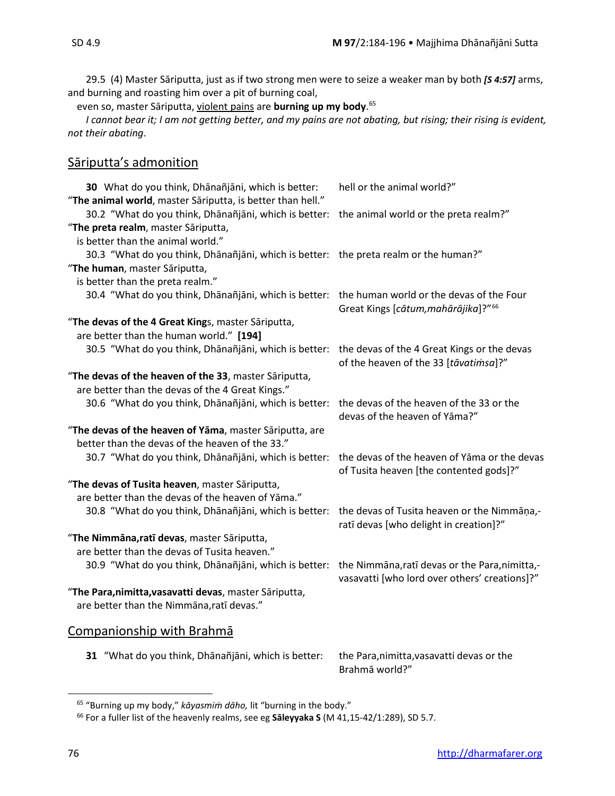29.5 (4) Master Sāriputta, just as if two strong men were to seize a weaker man by both *[S 4:57]* arms, and burning and roasting him over a pit of burning coal,

even so, master Sāriputta, violent pains are **burning up my body**. [65](#page-17-0)

*I cannot bear it; I am not getting better, and my pains are not abating, but rising; their rising is evident, not their abating*.

## Sāriputta's admonition

| 30 What do you think, Dhānañjāni, which is better:<br>"The animal world, master Sāriputta, is better than hell." | hell or the animal world?"                                                                      |
|------------------------------------------------------------------------------------------------------------------|-------------------------------------------------------------------------------------------------|
| 30.2 "What do you think, Dhānañjāni, which is better:                                                            | the animal world or the preta realm?"                                                           |
| "The preta realm, master Sāriputta,                                                                              |                                                                                                 |
| is better than the animal world."                                                                                |                                                                                                 |
| 30.3 "What do you think, Dhānañjāni, which is better: the preta realm or the human?"                             |                                                                                                 |
| "The human, master Sāriputta,                                                                                    |                                                                                                 |
| is better than the preta realm."                                                                                 |                                                                                                 |
| 30.4 "What do you think, Dhānañjāni, which is better:                                                            | the human world or the devas of the Four<br>Great Kings [cātum, mahārājika]?" <sup>66</sup>     |
| "The devas of the 4 Great Kings, master Sāriputta,                                                               |                                                                                                 |
| are better than the human world." [194]                                                                          |                                                                                                 |
| 30.5 "What do you think, Dhānañjāni, which is better:                                                            | the devas of the 4 Great Kings or the devas<br>of the heaven of the 33 [tavatimsa]?"            |
| "The devas of the heaven of the 33, master Sāriputta,                                                            |                                                                                                 |
| are better than the devas of the 4 Great Kings."                                                                 |                                                                                                 |
| 30.6 "What do you think, Dhānañjāni, which is better:                                                            | the devas of the heaven of the 33 or the<br>devas of the heaven of Yāma?"                       |
| "The devas of the heaven of Yāma, master Sāriputta, are                                                          |                                                                                                 |
| better than the devas of the heaven of the 33."                                                                  |                                                                                                 |
| 30.7 "What do you think, Dhānañjāni, which is better:                                                            | the devas of the heaven of Yāma or the devas<br>of Tusita heaven [the contented gods]?"         |
| "The devas of Tusita heaven, master Sāriputta,                                                                   |                                                                                                 |
| are better than the devas of the heaven of Yāma."                                                                |                                                                                                 |
| 30.8 "What do you think, Dhānañjāni, which is better:                                                            | the devas of Tusita heaven or the Nimmāṇa,-<br>ratī devas [who delight in creation]?"           |
| "The Nimmāna, ratī devas, master Sāriputta,                                                                      |                                                                                                 |
| are better than the devas of Tusita heaven."                                                                     |                                                                                                 |
| 30.9 "What do you think, Dhānañjāni, which is better:                                                            | the Nimmāna, ratī devas or the Para, nimitta,-<br>vasavatti [who lord over others' creations]?" |
| "The Para, nimitta, vasavatti devas, master Sāriputta,                                                           |                                                                                                 |
| are better than the Nimmana, ratī devas."                                                                        |                                                                                                 |
| Companionship with Brahma                                                                                        |                                                                                                 |
| 31 "What do you think, Dhānañjāni, which is better:                                                              | the Para, nimitta, vasavatti devas or the                                                       |

Brahmā world?"

<span id="page-17-0"></span><sup>65</sup> "Burning up my body," *kāyasmiṁ dāho,* lit "burning in the body."

<span id="page-17-1"></span><sup>66</sup> For a fuller list of the heavenly realms, see eg **Sāleyyaka S** (M 41,15-42/1:289), SD 5.7.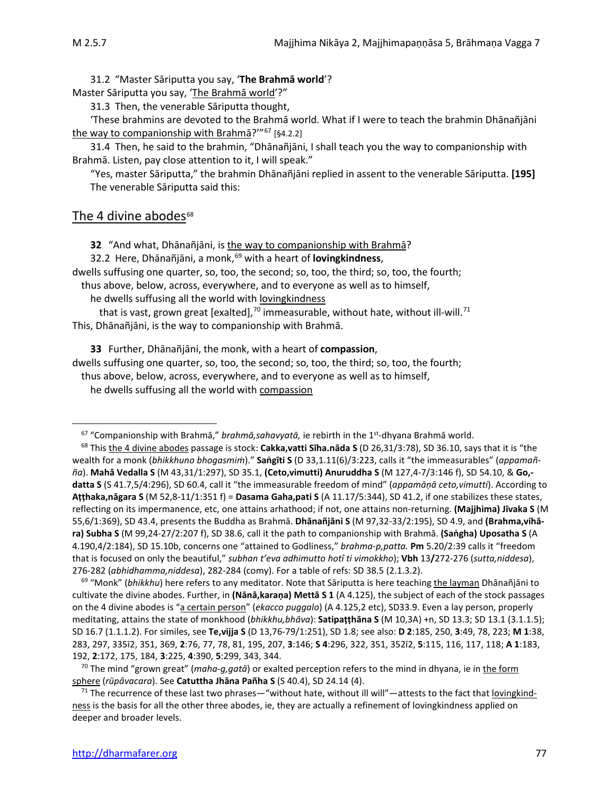31.2 "Master Sāriputta you say, '**The Brahmā world**'?

Master Sāriputta you say, 'The Brahmā world'?"

31.3 Then, the venerable Sāriputta thought,

'These brahmins are devoted to the Brahmā world. What if I were to teach the brahmin Dhānañjāni the way to companionship with Brahma?"<sup>[67](#page-18-0)</sup> [§4.2.2]

31.4 Then, he said to the brahmin, "Dhānañjāni, I shall teach you the way to companionship with Brahmā. Listen, pay close attention to it, I will speak."

"Yes, master Sāriputta," the brahmin Dhānañjāni replied in assent to the venerable Sāriputta. **[195]** The venerable Sāriputta said this:

### The 4 divine abodes $68$

**32** "And what, Dhānañjāni, is the way to companionship with Brahmā?

32.2 Here, Dhānañjāni, a monk, [69](#page-18-2) with a heart of **lovingkindness**,

dwells suffusing one quarter, so, too, the second; so, too, the third; so, too, the fourth;

thus above, below, across, everywhere, and to everyone as well as to himself,

he dwells suffusing all the world with lovingkindness

that is vast, grown great [exalted],<sup>70</sup> immeasurable, without hate, without ill-will.<sup>[71](#page-18-4)</sup> This, Dhānañjāni, is the way to companionship with Brahmā.

**33** Further, Dhānañjāni, the monk, with a heart of **compassion**, dwells suffusing one quarter, so, too, the second; so, too, the third; so, too, the fourth; thus above, below, across, everywhere, and to everyone as well as to himself,

he dwells suffusing all the world with compassion

<span id="page-18-2"></span><sup>69</sup> "Monk" (*bhikkhu*) here refers to any meditator. Note that Sāriputta is here teaching the layman Dhānañjāni to cultivate the divine abodes. Further, in **(Nānā,karaṇa) Mettā S 1** (A 4.125), the subject of each of the stock passages on the 4 divine abodes is "a certain person" (*ekacco puggalo*) (A 4.125,2 etc), SD33.9. Even a lay person, properly meditating, attains the state of monkhood (*bhikkhu,bhāva*): **Satipaṭṭhāna S** (M 10,3A) +n, SD 13.3; SD 13.1 (3.1.1.5); SD 16.7 (1.1.1.2). For similes, see **Te,vijja S** (D 13,76-79/1:251), SD 1.8; see also: **D 2**:185, 250, **3**:49, 78, 223; **M 1**:38, 283, 297, 335ī2, 351, 369, **2**:76, 77, 78, 81, 195, 207, **3**:146; **S 4**:296, 322, 351, 352ī2, **5**:115, 116, 117, 118; **A 1**:183, 192, **2**:172, 175, 184, **3**:225, **4**:390, **5**:299, 343, 344.

<span id="page-18-3"></span><sup>70</sup> The mind "grown great" (*maha-g,gatā*) or exalted perception refers to the mind in dhyana, ie in the form sphere (*rūpâvacara*). See **Catuttha Jhāna Pañha S** (S 40.4), SD 24.14 (4).

<span id="page-18-4"></span><sup>71</sup> The recurrence of these last two phrases—"without hate, without ill will"—attests to the fact that <u>lovingkind-</u> ness is the basis for all the other three abodes, ie, they are actually a refinement of lovingkindness applied on deeper and broader levels.

<sup>67</sup> "Companionship with Brahmā," *brahmā,sahavyatā,* ie rebirth in the 1st-dhyana Brahmā world.

<span id="page-18-1"></span><span id="page-18-0"></span><sup>68</sup> This the 4 divine abodes passage is stock: **Cakka,vatti Sīha.nāda S** (D 26,31/3:78), SD 36.10, says that it is "the wealth for a monk (*bhikkhuno bhogasmiṁ*)." **Saṅgīti S** (D 33,1.11(6)/3:223, calls it "the immeasurables" (*appamañña*). **Mahā Vedalla S** (M 43,31/1:297), SD 35.1, **(Ceto,vimutti) Anuruddha S** (M 127,4-7/3:146 f), SD 54.10, & **Go, datta S** (S 41.7,5/4:296), SD 60.4, call it "the immeasurable freedom of mind" (*appamāṇā ceto,vimutti*). According to **Aṭṭhaka,nāgara S** (M 52,8-11/1:351 f) = **Dasama Gaha,pati S** (A 11.17/5:344), SD 41.2, if one stabilizes these states, reflecting on its impermanence, etc, one attains arhathood; if not, one attains non-returning. **(Majjhima) Jīvaka S** (M 55,6/1:369), SD 43.4, presents the Buddha as Brahmā. **Dhānañjāni S** (M 97,32-33/2:195), SD 4.9, and **(Brahma,vihāra) Subha S** (M 99,24-27/2:207 f), SD 38.6, call it the path to companionship with Brahmā. **(Saṅgha) Uposatha S** (A 4.190,4/2:184), SD 15.10b, concerns one "attained to Godliness," *brahma-p,patta.* **Pm** 5.20/2:39 calls it "freedom that is focused on only the beautiful," *subhan t'eva adhimutto hotî ti vimokkho*); **Vbh** 13**/**272-276 (*sutta,niddesa*), 276-282 (*abhidhamma,niddesa*), 282-284 (comy). For a table of refs: SD 38.5 (2.1.3.2).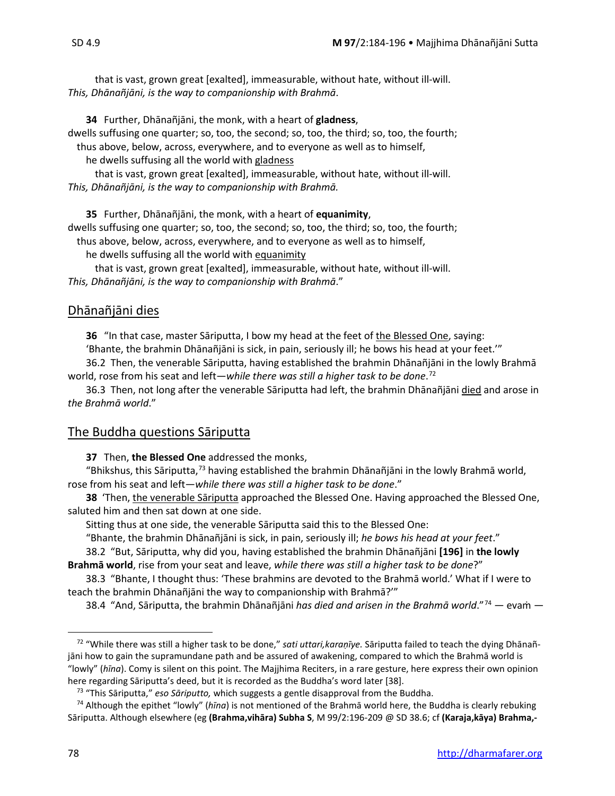that is vast, grown great [exalted], immeasurable, without hate, without ill-will. *This, Dhānañjāni, is the way to companionship with Brahmā*.

**34** Further, Dhānañjāni, the monk, with a heart of **gladness**,

dwells suffusing one quarter; so, too, the second; so, too, the third; so, too, the fourth;

thus above, below, across, everywhere, and to everyone as well as to himself,

he dwells suffusing all the world with gladness

that is vast, grown great [exalted], immeasurable, without hate, without ill-will. *This, Dhānañjāni, is the way to companionship with Brahmā.*

**35** Further, Dhānañjāni, the monk, with a heart of **equanimity**,

dwells suffusing one quarter; so, too, the second; so, too, the third; so, too, the fourth;

thus above, below, across, everywhere, and to everyone as well as to himself,

he dwells suffusing all the world with equanimity

that is vast, grown great [exalted], immeasurable, without hate, without ill-will. *This, Dhānañjāni, is the way to companionship with Brahmā*."

### Dhānañjāni dies

**36** "In that case, master Sāriputta, I bow my head at the feet of the Blessed One, saying:

'Bhante, the brahmin Dhānañjāni is sick, in pain, seriously ill; he bows his head at your feet.'"

36.2 Then, the venerable Sāriputta, having established the brahmin Dhānañjāni in the lowly Brahmā world, rose from his seat and left—*while there was still a higher task to be done*. [72](#page-19-0)

36.3 Then, not long after the venerable Sāriputta had left, the brahmin Dhānañjāni died and arose in *the Brahmā world*."

### The Buddha questions Sāriputta

**37** Then, **the Blessed One** addressed the monks,

"Bhikshus, this Sāriputta, $73$  having established the brahmin Dhānañjāni in the lowly Brahmā world, rose from his seat and left—*while there was still a higher task to be done*."

**38** 'Then, the venerable Sāriputta approached the Blessed One. Having approached the Blessed One, saluted him and then sat down at one side.

Sitting thus at one side, the venerable Sāriputta said this to the Blessed One:

"Bhante, the brahmin Dhānañjāni is sick, in pain, seriously ill; *he bows his head at your feet*."

38.2"But, Sāriputta, why did you, having established the brahmin Dhānañjāni **[196]** in **the lowly Brahmā world**, rise from your seat and leave, *while there was still a higher task to be done*?"

38.3 "Bhante, I thought thus: 'These brahmins are devoted to the Brahmā world.' What if I were to teach the brahmin Dhānañjāni the way to companionship with Brahmā?'"

38.4 "And, Sāriputta, the brahmin Dhānañjāni *has died and arisen in the Brahmā world*."[74](#page-19-2) — evaṁ —

<span id="page-19-0"></span><sup>72</sup> "While there was still a higher task to be done," *sati uttari,karaṇīye.* Sāriputta failed to teach the dying Dhānañjāni how to gain the supramundane path and be assured of awakening, compared to which the Brahmā world is "lowly" (*hīna*). Comy is silent on this point. The Majjhima Reciters, in a rare gesture, here express their own opinion here regarding Sāriputta's deed, but it is recorded as the Buddha's word later [38].

<sup>73</sup> "This Sāriputta," *eso Sāriputto,* which suggests a gentle disapproval from the Buddha.

<span id="page-19-2"></span><span id="page-19-1"></span><sup>74</sup> Although the epithet "lowly" (*hīna*) is not mentioned of the Brahmā world here, the Buddha is clearly rebuking Sāriputta. Although elsewhere (eg **(Brahma,vihāra) Subha S**, M 99/2:196-209 @ SD 38.6; cf **(Karaja,kāya) Brahma,-**